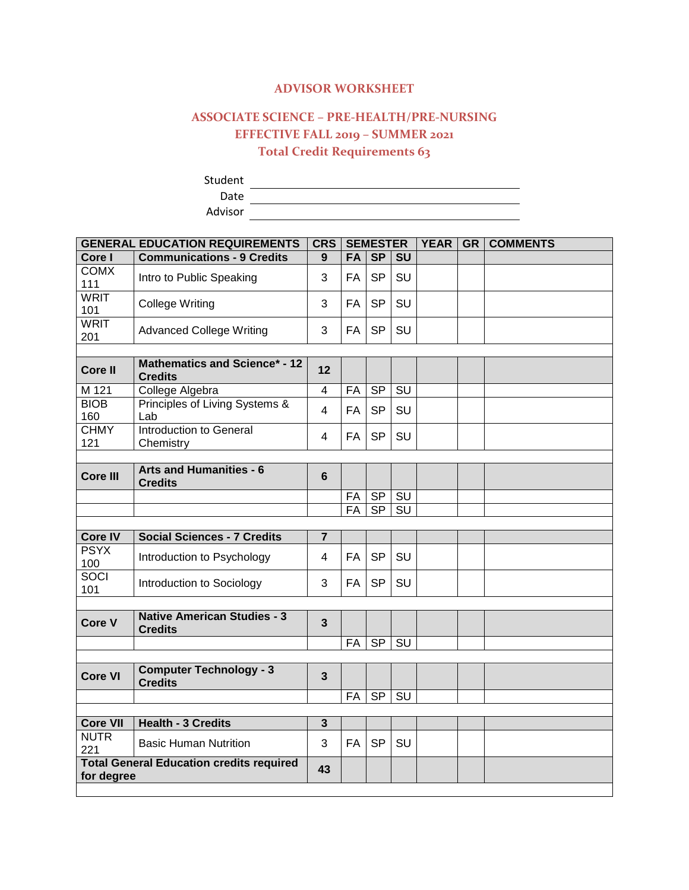## **ADVISOR WORKSHEET**

## **ASSOCIATE SCIENCE – PRE-HEALTH/PRE-NURSING EFFECTIVE FALL 2019 – SUMMER 2021 Total Credit Requirements 63**

Student

Date

Advisor

| <b>GENERAL EDUCATION REQUIREMENTS</b>                               |                                                        | <b>CRS</b>              | <b>SEMESTER</b> |           | <b>YEAR</b>            | GR | <b>COMMENTS</b> |  |
|---------------------------------------------------------------------|--------------------------------------------------------|-------------------------|-----------------|-----------|------------------------|----|-----------------|--|
| Core I                                                              | <b>Communications - 9 Credits</b>                      | 9                       | <b>FA</b>       | <b>SP</b> | <b>SU</b>              |    |                 |  |
| <b>COMX</b><br>111                                                  | Intro to Public Speaking                               | 3                       | FA              | <b>SP</b> | SU                     |    |                 |  |
| <b>WRIT</b><br>101                                                  | College Writing                                        | 3                       | FA              | <b>SP</b> | SU                     |    |                 |  |
| <b>WRIT</b><br>201                                                  | <b>Advanced College Writing</b>                        | 3                       | <b>FA</b>       | <b>SP</b> | SU                     |    |                 |  |
|                                                                     |                                                        |                         |                 |           |                        |    |                 |  |
| <b>Core II</b>                                                      | <b>Mathematics and Science* - 12</b><br><b>Credits</b> | 12                      |                 |           |                        |    |                 |  |
| M 121                                                               | College Algebra                                        | $\overline{\mathbf{4}}$ | FA              | <b>SP</b> | SU                     |    |                 |  |
| <b>BIOB</b><br>160                                                  | Principles of Living Systems &<br>Lab                  | 4                       | FA              | <b>SP</b> | SU                     |    |                 |  |
| <b>CHMY</b><br>121                                                  | Introduction to General<br>Chemistry                   | 4                       | FA              | <b>SP</b> | SU                     |    |                 |  |
|                                                                     |                                                        |                         |                 |           |                        |    |                 |  |
| <b>Core III</b>                                                     | <b>Arts and Humanities - 6</b><br><b>Credits</b>       | $6\phantom{1}$          |                 |           |                        |    |                 |  |
|                                                                     |                                                        |                         | FA              | SP        | SU                     |    |                 |  |
|                                                                     |                                                        |                         | FA              | <b>SP</b> | SU                     |    |                 |  |
|                                                                     |                                                        |                         |                 |           |                        |    |                 |  |
| <b>Core IV</b>                                                      | <b>Social Sciences - 7 Credits</b>                     | $\overline{7}$          |                 |           |                        |    |                 |  |
| <b>PSYX</b><br>100                                                  | Introduction to Psychology                             | 4                       | FA              | <b>SP</b> | SU                     |    |                 |  |
| <b>SOCI</b><br>101                                                  | Introduction to Sociology                              | 3                       | <b>FA</b>       | <b>SP</b> | SU                     |    |                 |  |
|                                                                     |                                                        |                         |                 |           |                        |    |                 |  |
| Core V                                                              | <b>Native American Studies - 3</b><br><b>Credits</b>   | $\mathbf{3}$            |                 |           |                        |    |                 |  |
|                                                                     |                                                        |                         | FA              | <b>SP</b> | SU                     |    |                 |  |
|                                                                     |                                                        |                         |                 |           |                        |    |                 |  |
| <b>Core VI</b>                                                      | <b>Computer Technology - 3</b><br><b>Credits</b>       | $\overline{3}$          |                 |           |                        |    |                 |  |
|                                                                     |                                                        |                         | <b>FA</b>       | <b>SP</b> | $\overline{\text{SU}}$ |    |                 |  |
|                                                                     |                                                        |                         |                 |           |                        |    |                 |  |
| <b>Core VII</b>                                                     | <b>Health - 3 Credits</b>                              | $\overline{3}$          |                 |           |                        |    |                 |  |
| <b>NUTR</b><br>221                                                  | <b>Basic Human Nutrition</b>                           | 3                       | FA              | <b>SP</b> | SU                     |    |                 |  |
| <b>Total General Education credits required</b><br>43<br>for degree |                                                        |                         |                 |           |                        |    |                 |  |
|                                                                     |                                                        |                         |                 |           |                        |    |                 |  |